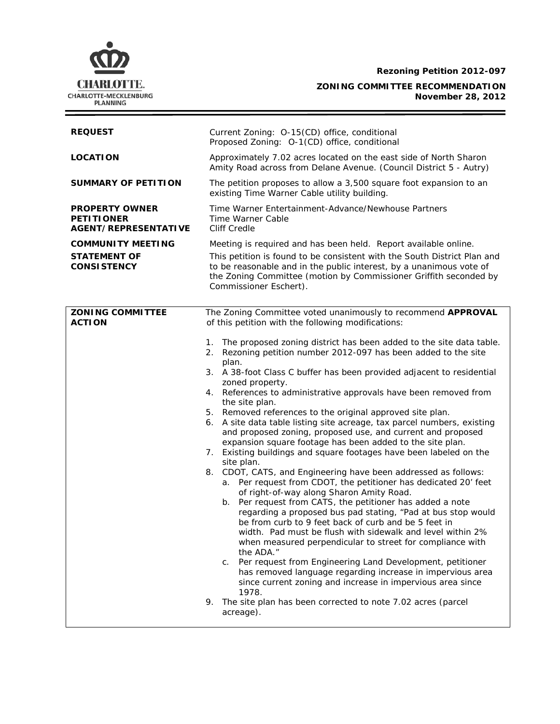**Rezoning Petition 2012-097**

# C **CHARLOTTE.** CHARLOTTE-MECKLENBURG<br>PLANNING

**ZONING COMMITTEE RECOMMENDATION November 28, 2012**

| <b>REQUEST</b>                                                            | Current Zoning: O-15(CD) office, conditional<br>Proposed Zoning: O-1(CD) office, conditional                                                                                                                                                                                                                                                                                                                                                                                                                                                                                                                                                                                                                                                                                                                                                                                                                                                                                                                                                                                                                                                                                                                                                                                                                                                                                                                                                                                                |  |  |
|---------------------------------------------------------------------------|---------------------------------------------------------------------------------------------------------------------------------------------------------------------------------------------------------------------------------------------------------------------------------------------------------------------------------------------------------------------------------------------------------------------------------------------------------------------------------------------------------------------------------------------------------------------------------------------------------------------------------------------------------------------------------------------------------------------------------------------------------------------------------------------------------------------------------------------------------------------------------------------------------------------------------------------------------------------------------------------------------------------------------------------------------------------------------------------------------------------------------------------------------------------------------------------------------------------------------------------------------------------------------------------------------------------------------------------------------------------------------------------------------------------------------------------------------------------------------------------|--|--|
| <b>LOCATION</b>                                                           | Approximately 7.02 acres located on the east side of North Sharon<br>Amity Road across from Delane Avenue. (Council District 5 - Autry)                                                                                                                                                                                                                                                                                                                                                                                                                                                                                                                                                                                                                                                                                                                                                                                                                                                                                                                                                                                                                                                                                                                                                                                                                                                                                                                                                     |  |  |
| <b>SUMMARY OF PETITION</b>                                                | The petition proposes to allow a 3,500 square foot expansion to an<br>existing Time Warner Cable utility building.                                                                                                                                                                                                                                                                                                                                                                                                                                                                                                                                                                                                                                                                                                                                                                                                                                                                                                                                                                                                                                                                                                                                                                                                                                                                                                                                                                          |  |  |
| <b>PROPERTY OWNER</b><br><b>PETITIONER</b><br><b>AGENT/REPRESENTATIVE</b> | Time Warner Entertainment-Advance/Newhouse Partners<br>Time Warner Cable<br><b>Cliff Credle</b>                                                                                                                                                                                                                                                                                                                                                                                                                                                                                                                                                                                                                                                                                                                                                                                                                                                                                                                                                                                                                                                                                                                                                                                                                                                                                                                                                                                             |  |  |
| <b>COMMUNITY MEETING</b>                                                  | Meeting is required and has been held. Report available online.                                                                                                                                                                                                                                                                                                                                                                                                                                                                                                                                                                                                                                                                                                                                                                                                                                                                                                                                                                                                                                                                                                                                                                                                                                                                                                                                                                                                                             |  |  |
| <b>STATEMENT OF</b><br><b>CONSISTENCY</b>                                 | This petition is found to be consistent with the South District Plan and<br>to be reasonable and in the public interest, by a unanimous vote of<br>the Zoning Committee (motion by Commissioner Griffith seconded by<br>Commissioner Eschert).                                                                                                                                                                                                                                                                                                                                                                                                                                                                                                                                                                                                                                                                                                                                                                                                                                                                                                                                                                                                                                                                                                                                                                                                                                              |  |  |
| <b>ZONING COMMITTEE</b><br><b>ACTION</b>                                  | The Zoning Committee voted unanimously to recommend APPROVAL<br>of this petition with the following modifications:                                                                                                                                                                                                                                                                                                                                                                                                                                                                                                                                                                                                                                                                                                                                                                                                                                                                                                                                                                                                                                                                                                                                                                                                                                                                                                                                                                          |  |  |
|                                                                           | 1. The proposed zoning district has been added to the site data table.<br>2. Rezoning petition number 2012-097 has been added to the site<br>plan.<br>A 38-foot Class C buffer has been provided adjacent to residential<br>3.<br>zoned property.<br>References to administrative approvals have been removed from<br>the site plan.<br>Removed references to the original approved site plan.<br>A site data table listing site acreage, tax parcel numbers, existing<br>and proposed zoning, proposed use, and current and proposed<br>expansion square footage has been added to the site plan.<br>7. Existing buildings and square footages have been labeled on the<br>site plan.<br>8. CDOT, CATS, and Engineering have been addressed as follows:<br>a. Per request from CDOT, the petitioner has dedicated 20' feet<br>of right-of-way along Sharon Amity Road.<br>Per request from CATS, the petitioner has added a note<br>b.<br>regarding a proposed bus pad stating, "Pad at bus stop would<br>be from curb to 9 feet back of curb and be 5 feet in<br>width. Pad must be flush with sidewalk and level within 2%<br>when measured perpendicular to street for compliance with<br>the ADA."<br>Per request from Engineering Land Development, petitioner<br>C.<br>has removed language regarding increase in impervious area<br>since current zoning and increase in impervious area since<br>1978.<br>The site plan has been corrected to note 7.02 acres (parcel<br>acreage). |  |  |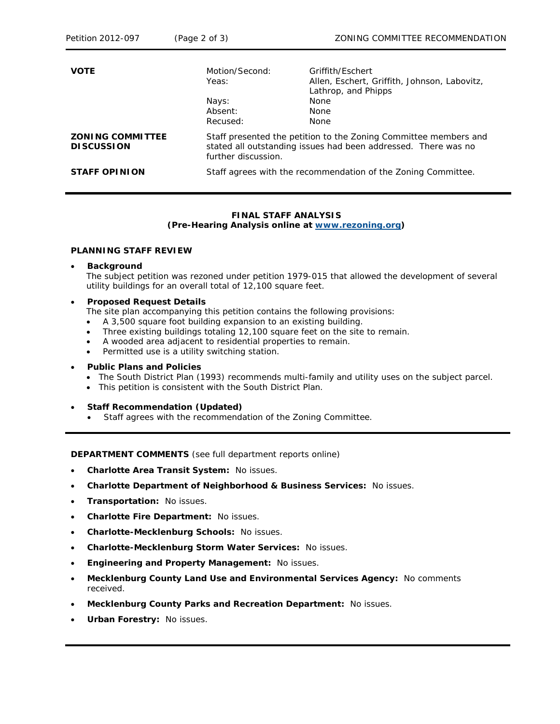| <b>VOTE</b>                                  | Motion/Second:<br>Yeas:<br>Nays:<br>Absent:<br>Recused:                                                                                                   | Griffith/Fschert<br>Allen, Eschert, Griffith, Johnson, Labovitz,<br>Lathrop, and Phipps<br><b>None</b><br><b>None</b><br><b>None</b> |
|----------------------------------------------|-----------------------------------------------------------------------------------------------------------------------------------------------------------|--------------------------------------------------------------------------------------------------------------------------------------|
| <b>ZONING COMMITTEE</b><br><b>DISCUSSION</b> | Staff presented the petition to the Zoning Committee members and<br>stated all outstanding issues had been addressed. There was no<br>further discussion. |                                                                                                                                      |
| <b>STAFF OPINION</b>                         | Staff agrees with the recommendation of the Zoning Committee.                                                                                             |                                                                                                                                      |

## **FINAL STAFF ANALYSIS**

**(Pre-Hearing Analysis online at [www.rezoning.org\)](http://www.rezoning.org/)** 

#### **PLANNING STAFF REVIEW**

## • **Background**

The subject petition was rezoned under petition 1979-015 that allowed the development of several utility buildings for an overall total of 12,100 square feet.

#### • **Proposed Request Details**

- The site plan accompanying this petition contains the following provisions:
- A 3,500 square foot building expansion to an existing building.
- Three existing buildings totaling 12,100 square feet on the site to remain.
- A wooded area adjacent to residential properties to remain.
- Permitted use is a utility switching station.

## • **Public Plans and Policies**

- *The South District Plan* (1993) recommends multi-family and utility uses on the subject parcel.
- This petition is consistent with the *South District Plan*.

#### • **Staff Recommendation (Updated)**

• Staff agrees with the recommendation of the Zoning Committee.

**DEPARTMENT COMMENTS** (see full department reports online)

- **Charlotte Area Transit System:** No issues.
- **Charlotte Department of Neighborhood & Business Services:** No issues.
- **Transportation:** No issues.
- **Charlotte Fire Department:** No issues.
- **Charlotte-Mecklenburg Schools:** No issues.
- **Charlotte-Mecklenburg Storm Water Services:** No issues.
- **Engineering and Property Management:** No issues.
- **Mecklenburg County Land Use and Environmental Services Agency:** No comments received.
- **Mecklenburg County Parks and Recreation Department:** No issues.
- **Urban Forestry:** No issues.